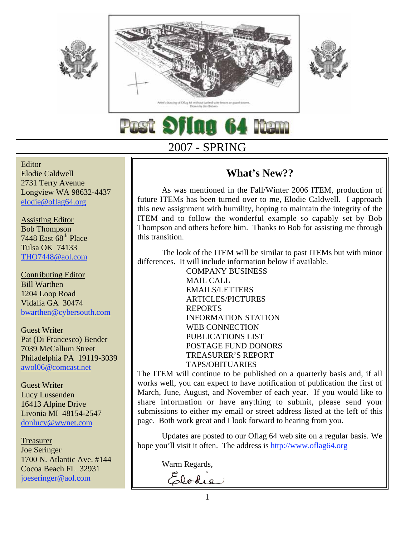





**ag 64 Nem** 

# 2007 - SPRING

### Editor Elodie Caldwell 2731 Terry Avenue Longview WA 98632-4437 elodie@oflag64.org

Assisting Editor Bob Thompson 7448 East  $68<sup>th</sup>$  Place Tulsa OK 74133 THO7448@aol.com

Contributing Editor Bill Warthen 1204 Loop Road Vidalia GA 30474 bwarthen@cybersouth.com

Guest Writer Pat (Di Francesco) Bender 7039 McCallum Street Philadelphia PA 19119-3039 awol06@comcast.net

Guest Writer Lucy Lussenden 16413 Alpine Drive Livonia MI 48154-2547 donlucy@wwnet.com

Treasurer Joe Seringer 1700 N. Atlantic Ave. #144 Cocoa Beach FL 32931 joeseringer@aol.com

# **What's New??**

As was mentioned in the Fall/Winter 2006 ITEM, production of future ITEMs has been turned over to me, Elodie Caldwell. I approach this new assignment with humility, hoping to maintain the integrity of the ITEM and to follow the wonderful example so capably set by Bob Thompson and others before him. Thanks to Bob for assisting me through this transition.

The look of the ITEM will be similar to past ITEMs but with minor differences. It will include information below if available.

> COMPANY BUSINESS MAIL CALL EMAILS/LETTERS ARTICLES/PICTURES REPORTS INFORMATION STATION WEB CONNECTION PUBLICATIONS LIST POSTAGE FUND DONORS TREASURER'S REPORT TAPS/OBITUARIES

The ITEM will continue to be published on a quarterly basis and, if all works well, you can expect to have notification of publication the first of March, June, August, and November of each year. If you would like to share information or have anything to submit, please send your submissions to either my email or street address listed at the left of this page. Both work great and I look forward to hearing from you.

Updates are posted to our Oflag 64 web site on a regular basis. We hope you'll visit it often. The address is http://www.oflag64.org

Warm Regards,

Elodie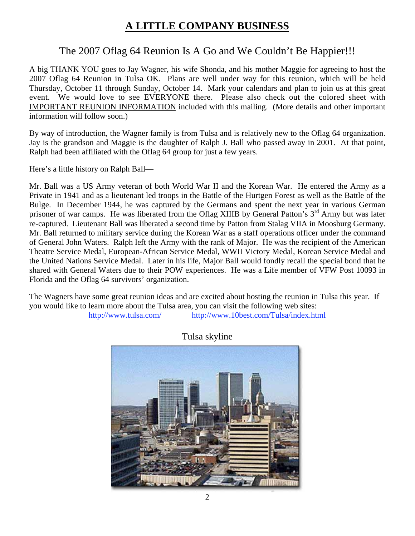# **A LITTLE COMPANY BUSINESS**

## The 2007 Oflag 64 Reunion Is A Go and We Couldn't Be Happier!!!

A big THANK YOU goes to Jay Wagner, his wife Shonda, and his mother Maggie for agreeing to host the 2007 Oflag 64 Reunion in Tulsa OK. Plans are well under way for this reunion, which will be held Thursday, October 11 through Sunday, October 14. Mark your calendars and plan to join us at this great event. We would love to see EVERYONE there. Please also check out the colored sheet with IMPORTANT REUNION INFORMATION included with this mailing. (More details and other important information will follow soon.)

By way of introduction, the Wagner family is from Tulsa and is relatively new to the Oflag 64 organization. Jay is the grandson and Maggie is the daughter of Ralph J. Ball who passed away in 2001. At that point, Ralph had been affiliated with the Oflag 64 group for just a few years.

Here's a little history on Ralph Ball—

Mr. Ball was a US Army veteran of both World War II and the Korean War. He entered the Army as a Private in 1941 and as a lieutenant led troops in the Battle of the Hurtgen Forest as well as the Battle of the Bulge. In December 1944, he was captured by the Germans and spent the next year in various German prisoner of war camps. He was liberated from the Oflag XIIIB by General Patton's 3<sup>rd</sup> Army but was later re-captured. Lieutenant Ball was liberated a second time by Patton from Stalag VIIA in Moosburg Germany. Mr. Ball returned to military service during the Korean War as a staff operations officer under the command of General John Waters. Ralph left the Army with the rank of Major. He was the recipient of the American Theatre Service Medal, European-African Service Medal, WWII Victory Medal, Korean Service Medal and the United Nations Service Medal. Later in his life, Major Ball would fondly recall the special bond that he shared with General Waters due to their POW experiences. He was a Life member of VFW Post 10093 in Florida and the Oflag 64 survivors' organization.

The Wagners have some great reunion ideas and are excited about hosting the reunion in Tulsa this year. If you would like to learn more about the Tulsa area, you can visit the following web sites:

http://www.tulsa.com/ http://www.10best.com/Tulsa/index.html



Tulsa skyline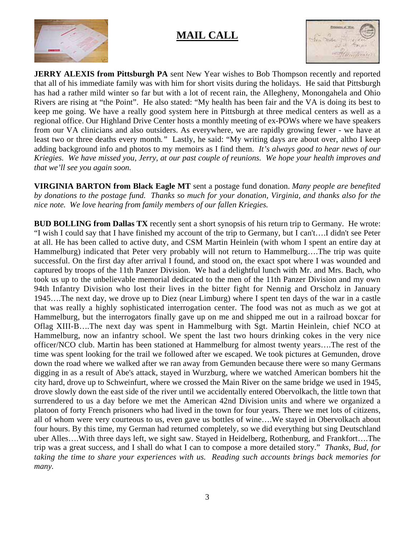

## **MAIL CALL**



**JERRY ALEXIS from Pittsburgh PA** sent New Year wishes to Bob Thompson recently and reported that all of his immediate family was with him for short visits during the holidays. He said that Pittsburgh has had a rather mild winter so far but with a lot of recent rain, the Allegheny, Monongahela and Ohio Rivers are rising at "the Point". He also stated: "My health has been fair and the VA is doing its best to keep me going. We have a really good system here in Pittsburgh at three medical centers as well as a regional office. Our Highland Drive Center hosts a monthly meeting of ex-POWs where we have speakers from our VA clinicians and also outsiders. As everywhere, we are rapidly growing fewer - we have at least two or three deaths every month*."* Lastly, he said: "My writing days are about over, altho I keep adding background info and photos to my memoirs as I find them. *It's always good to hear news of our Kriegies. We have missed you, Jerry, at our past couple of reunions. We hope your health improves and that we'll see you again soon.*

**VIRGINIA BARTON from Black Eagle MT** sent a postage fund donation. *Many people are benefited by donations to the postage fund. Thanks so much for your donation, Virginia, and thanks also for the nice note. We love hearing from family members of our fallen Kriegies.*

**BUD BOLLING from Dallas TX** recently sent a short synopsis of his return trip to Germany. He wrote: "I wish I could say that I have finished my account of the trip to Germany, but I can't….I didn't see Peter at all. He has been called to active duty, and CSM Martin Heinlein (with whom I spent an entire day at Hammelburg) indicated that Peter very probably will not return to Hammelburg….The trip was quite successful. On the first day after arrival I found, and stood on, the exact spot where I was wounded and captured by troops of the 11th Panzer Division. We had a delightful lunch with Mr. and Mrs. Bach, who took us up to the unbelievable memorial dedicated to the men of the 11th Panzer Division and my own 94th Infantry Division who lost their lives in the bitter fight for Nennig and Orscholz in January 1945….The next day, we drove up to Diez (near Limburg) where I spent ten days of the war in a castle that was really a highly sophisticated interrogation center. The food was not as much as we got at Hammelburg, but the interrogators finally gave up on me and shipped me out in a railroad boxcar for Oflag XIII-B….The next day was spent in Hammelburg with Sgt. Martin Heinlein, chief NCO at Hammelburg, now an infantry school. We spent the last two hours drinking cokes in the very nice officer/NCO club. Martin has been stationed at Hammelburg for almost twenty years….The rest of the time was spent looking for the trail we followed after we escaped. We took pictures at Gemunden, drove down the road where we walked after we ran away from Gemunden because there were so many Germans digging in as a result of Abe's attack, stayed in Wurzburg, where we watched American bombers hit the city hard, drove up to Schweinfurt, where we crossed the Main River on the same bridge we used in 1945, drove slowly down the east side of the river until we accidentally entered Obervolkach, the little town that surrendered to us a day before we met the American 42nd Division units and where we organized a platoon of forty French prisoners who had lived in the town for four years. There we met lots of citizens, all of whom were very courteous to us, even gave us bottles of wine….We stayed in Obervolkach about four hours. By this time, my German had returned completely, so we did everything but sing Deutschland uber Alles….With three days left, we sight saw. Stayed in Heidelberg, Rothenburg, and Frankfort….The trip was a great success, and I shall do what I can to compose a more detailed story." *Thanks, Bud, for taking the time to share your experiences with us. Reading such accounts brings back memories for many.*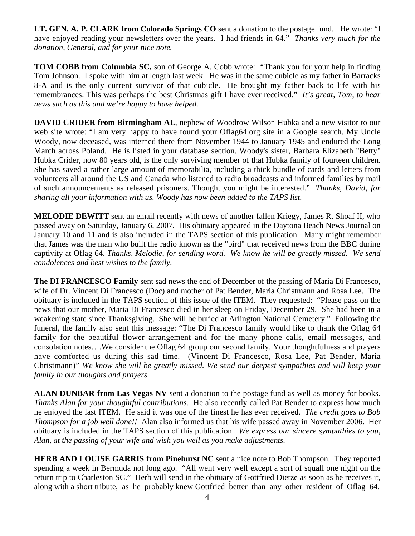**LT. GEN. A. P. CLARK from Colorado Springs CO** sent a donation to the postage fund. He wrote: "I have enjoyed reading your newsletters over the years. I had friends in 64." *Thanks very much for the donation, General, and for your nice note.*

**TOM COBB from Columbia SC,** son of George A. Cobb wrote: "Thank you for your help in finding Tom Johnson. I spoke with him at length last week. He was in the same cubicle as my father in Barracks 8-A and is the only current survivor of that cubicle. He brought my father back to life with his remembrances. This was perhaps the best Christmas gift I have ever received." *It's great, Tom, to hear news such as this and we're happy to have helped.*

**DAVID CRIDER from Birmingham AL, nephew of Woodrow Wilson Hubka and a new visitor to our** web site wrote: "I am very happy to have found your Oflag64.org site in a Google search. My Uncle Woody, now deceased, was interned there from November 1944 to January 1945 and endured the Long March across Poland. He is listed in your database section. Woody's sister, Barbara Elizabeth "Betty" Hubka Crider, now 80 years old, is the only surviving member of that Hubka family of fourteen children. She has saved a rather large amount of memorabilia, including a thick bundle of cards and letters from volunteers all around the US and Canada who listened to radio broadcasts and informed families by mail of such announcements as released prisoners. Thought you might be interested." *Thanks, David, for sharing all your information with us. Woody has now been added to the TAPS list.*

**MELODIE DEWITT** sent an email recently with news of another fallen Kriegy, James R. Shoaf II, who passed away on Saturday, January 6, 2007. His obituary appeared in the Daytona Beach News Journal on January 10 and 11 and is also included in the TAPS section of this publication. Many might remember that James was the man who built the radio known as the "bird" that received news from the BBC during captivity at Oflag 64. *Thanks, Melodie, for sending word. We know he will be greatly missed. We send condolences and best wishes to the family.*

**The DI FRANCESCO Family** sent sad news the end of December of the passing of Maria Di Francesco, wife of Dr. Vincent Di Francesco (Doc) and mother of Pat Bender, Maria Christmann and Rosa Lee. The obituary is included in the TAPS section of this issue of the ITEM. They requested: "Please pass on the news that our mother, Maria Di Francesco died in her sleep on Friday, December 29. She had been in a weakening state since Thanksgiving. She will be buried at Arlington National Cemetery." Following the funeral, the family also sent this message: "The Di Francesco family would like to thank the Oflag 64 family for the beautiful flower arrangement and for the many phone calls, email messages, and consolation notes….We consider the Oflag 64 group our second family. Your thoughtfulness and prayers have comforted us during this sad time. (Vincent Di Francesco, Rosa Lee, Pat Bender, Maria Christmann)" *We know she will be greatly missed. We send our deepest sympathies and will keep your family in our thoughts and prayers.*

**ALAN DUNBAR from Las Vegas NV** sent a donation to the postage fund as well as money for books. *Thanks Alan for your thoughtful contributions.* He also recently called Pat Bender to express how much he enjoyed the last ITEM. He said it was one of the finest he has ever received. *The credit goes to Bob Thompson for a job well done!!* Alan also informed us that his wife passed away in November 2006. Her obituary is included in the TAPS section of this publication. *We express our sincere sympathies to you, Alan, at the passing of your wife and wish you well as you make adjustments.*

**HERB AND LOUISE GARRIS from Pinehurst NC** sent a nice note to Bob Thompson. They reported spending a week in Bermuda not long ago. "All went very well except a sort of squall one night on the return trip to Charleston SC." Herb will send in the obituary of Gottfried Dietze as soon as he receives it, along with a short tribute, as he probably knew Gottfried better than any other resident of Oflag 64.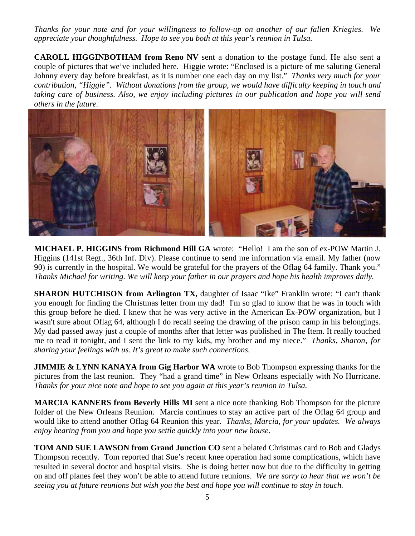*Thanks for your note and for your willingness to follow-up on another of our fallen Kriegies. We appreciate your thoughtfulness. Hope to see you both at this year's reunion in Tulsa.*

**CAROLL HIGGINBOTHAM from Reno NV** sent a donation to the postage fund. He also sent a couple of pictures that we've included here. Higgie wrote: "Enclosed is a picture of me saluting General Johnny every day before breakfast, as it is number one each day on my list." *Thanks very much for your contribution, "Higgie". Without donations from the group, we would have difficulty keeping in touch and taking care of business. Also, we enjoy including pictures in our publication and hope you will send others in the future.*



**MICHAEL P. HIGGINS from Richmond Hill GA** wrote: "Hello! I am the son of ex-POW Martin J. Higgins (141st Regt., 36th Inf. Div). Please continue to send me information via email. My father (now 90) is currently in the hospital. We would be grateful for the prayers of the Oflag 64 family. Thank you." *Thanks Michael for writing. We will keep your father in our prayers and hope his health improves daily.*

**SHARON HUTCHISON from Arlington TX, daughter of Isaac "Ike" Franklin wrote: "I can't thank** you enough for finding the Christmas letter from my dad! I'm so glad to know that he was in touch with this group before he died. I knew that he was very active in the American Ex-POW organization, but I wasn't sure about Oflag 64, although I do recall seeing the drawing of the prison camp in his belongings. My dad passed away just a couple of months after that letter was published in The Item. It really touched me to read it tonight, and I sent the link to my kids, my brother and my niece." *Thanks, Sharon, for sharing your feelings with us. It's great to make such connections.*

**JIMMIE & LYNN KANAYA from Gig Harbor WA** wrote to Bob Thompson expressing thanks for the pictures from the last reunion. They "had a grand time" in New Orleans especially with No Hurricane. *Thanks for your nice note and hope to see you again at this year's reunion in Tulsa.*

**MARCIA KANNERS from Beverly Hills MI** sent a nice note thanking Bob Thompson for the picture folder of the New Orleans Reunion. Marcia continues to stay an active part of the Oflag 64 group and would like to attend another Oflag 64 Reunion this year. *Thanks, Marcia, for your updates. We always enjoy hearing from you and hope you settle quickly into your new house.*

**TOM AND SUE LAWSON from Grand Junction CO** sent a belated Christmas card to Bob and Gladys Thompson recently. Tom reported that Sue's recent knee operation had some complications, which have resulted in several doctor and hospital visits. She is doing better now but due to the difficulty in getting on and off planes feel they won't be able to attend future reunions. *We are sorry to hear that we won't be seeing you at future reunions but wish you the best and hope you will continue to stay in touch.*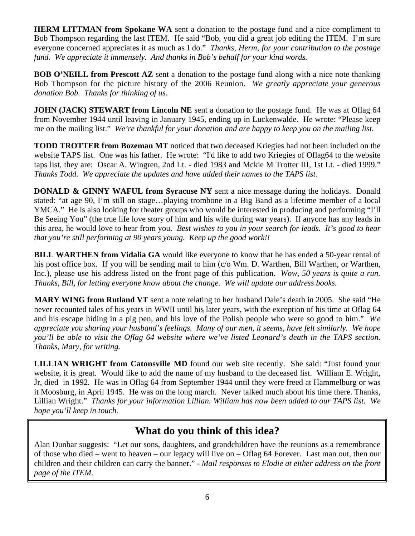**HERM LITTMAN from Spokane WA** sent a donation to the postage fund and a nice compliment to Bob Thompson regarding the last ITEM. He said "Bob, you did a great job editing the ITEM. I'm sure everyone concerned appreciates it as much as I do." *Thanks, Herm, for your contribution to the postage fund. We appreciate it immensely. And thanks in Bob's behalf for your kind words.*

**BOB O'NEILL from Prescott AZ** sent a donation to the postage fund along with a nice note thanking Bob Thompson for the picture history of the 2006 Reunion. *We greatly appreciate your generous donation Bob. Thanks for thinking of us.*

**JOHN (JACK) STEWART from Lincoln NE** sent a donation to the postage fund. He was at Oflag 64 from November 1944 until leaving in January 1945, ending up in Luckenwalde. He wrote: "Please keep me on the mailing list." *We're thankful for your donation and are happy to keep you on the mailing list.*

**TODD TROTTER from Bozeman MT** noticed that two deceased Kriegies had not been included on the website TAPS list. One was his father. He wrote: "I'd like to add two Kriegies of Oflag64 to the website taps list, they are: Oscar A. Wingren, 2nd Lt. - died 1983 and Mckie M Trotter III, 1st Lt. - died 1999." *Thanks Todd. We appreciate the updates and have added their names to the TAPS list.*

**DONALD & GINNY WAFUL from Syracuse NY** sent a nice message during the holidays. Donald stated: "at age 90, I'm still on stage…playing trombone in a Big Band as a lifetime member of a local YMCA." He is also looking for theater groups who would be interested in producing and performing "I'll Be Seeing You" (the true life love story of him and his wife during war years). If anyone has any leads in this area, he would love to hear from you. *Best wishes to you in your search for leads. It's good to hear that you're still performing at 90 years young. Keep up the good work!!*

**BILL WARTHEN from Vidalia GA** would like everyone to know that he has ended a 50-year rental of his post office box. If you will be sending mail to him (c/o Wm. D. Warthen, Bill Warthen, or Warthen, Inc.), please use his address listed on the front page of this publication. *Wow, 50 years is quite a run. Thanks, Bill, for letting everyone know about the change. We will update our address books.*

**MARY WING from Rutland VT** sent a note relating to her husband Dale's death in 2005. She said "He never recounted tales of his years in WWII until his later years, with the exception of his time at Oflag 64 and his escape hiding in a pig pen, and his love of the Polish people who were so good to him." *We appreciate you sharing your husband's feelings. Many of our men, it seems, have felt similarly. We hope you'll be able to visit the Oflag 64 website where we've listed Leonard's death in the TAPS section. Thanks, Mary, for writing.*

**LILLIAN WRIGHT from Catonsville MD** found our web site recently. She said: "Just found your website, it is great. Would like to add the name of my husband to the deceased list. William E. Wright, Jr, died in 1992. He was in Oflag 64 from September 1944 until they were freed at Hammelburg or was it Moosburg, in April 1945. He was on the long march. Never talked much about his time there. Thanks, Lillian Wright." *Thanks for your information Lillian. William has now been added to our TAPS list. We hope you'll keep in touch.*

# **What do you think of this idea?**

Alan Dunbar suggests: "Let our sons, daughters, and grandchildren have the reunions as a remembrance of those who died – went to heaven – our legacy will live on – Oflag 64 Forever. Last man out, then our children and their children can carry the banner." - *Mail responses to Elodie at either address on the front page of the ITEM*.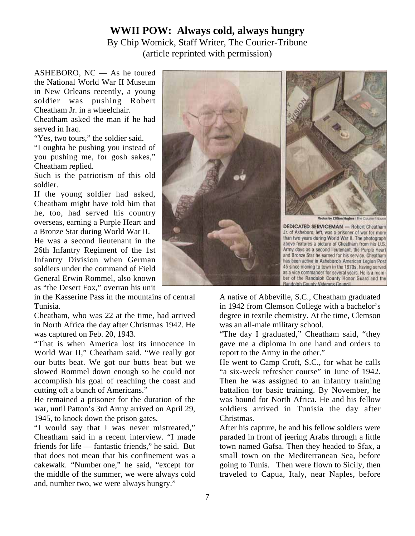## **WWII POW: Always cold, always hungry**

By Chip Womick, Staff Writer, The Courier-Tribune (article reprinted with permission)

ASHEBORO, NC — As he toured the National World War II Museum in New Orleans recently, a young soldier was pushing Robert Cheatham Jr. in a wheelchair.

Cheatham asked the man if he had served in Iraq.

"Yes, two tours," the soldier said.

"I oughta be pushing you instead of you pushing me, for gosh sakes," Cheatham replied.

Such is the patriotism of this old soldier.

If the young soldier had asked, Cheatham might have told him that he, too, had served his country overseas, earning a Purple Heart and a Bronze Star during World War II.

He was a second lieutenant in the 26th Infantry Regiment of the 1st Infantry Division when German soldiers under the command of Field General Erwin Rommel, also known as "the Desert Fox," overran his unit

in the Kasserine Pass in the mountains of central Tunisia.

Cheatham, who was 22 at the time, had arrived in North Africa the day after Christmas 1942. He was captured on Feb. 20, 1943.

"That is when America lost its innocence in World War II," Cheatham said. "We really got our butts beat. We got our butts beat but we slowed Rommel down enough so he could not accomplish his goal of reaching the coast and cutting off a bunch of Americans."

He remained a prisoner for the duration of the war, until Patton's 3rd Army arrived on April 29, 1945, to knock down the prison gates.

"I would say that I was never mistreated," Cheatham said in a recent interview. "I made friends for life — fantastic friends," he said. But that does not mean that his confinement was a cakewalk. "Number one," he said, "except for the middle of the summer, we were always cold and, number two, we were always hungry."





**DEDICATED SERVICEMAN - Robert Cheatham** Jr. of Asheboro, left, was a prisoner of war for more than two years during World War II. The photograph above features a picture of Cheatham from his U.S. Army days as a second lieutenant, the Purple Heart and Bronze Star he earned for his service. Cheatham has been active in Asheboro's American Legion Post 45 since moving to town in the 1970s, having served as a vice commander for several years. He is a member of the Randolph County Honor Guard and the Randolph County Veterans Council

A native of Abbeville, S.C., Cheatham graduated in 1942 from Clemson College with a bachelor's degree in textile chemistry. At the time, Clemson was an all-male military school.

"The day I graduated," Cheatham said, "they gave me a diploma in one hand and orders to report to the Army in the other."

He went to Camp Croft, S.C., for what he calls "a six-week refresher course" in June of 1942. Then he was assigned to an infantry training battalion for basic training. By November, he was bound for North Africa. He and his fellow soldiers arrived in Tunisia the day after Christmas.

After his capture, he and his fellow soldiers were paraded in front of jeering Arabs through a little town named Gafsa. Then they headed to Sfax, a small town on the Mediterranean Sea, before going to Tunis. Then were flown to Sicily, then traveled to Capua, Italy, near Naples, before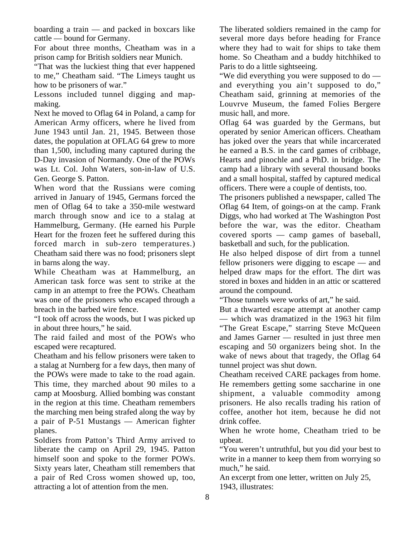boarding a train — and packed in boxcars like cattle — bound for Germany.

For about three months, Cheatham was in a prison camp for British soldiers near Munich.

"That was the luckiest thing that ever happened to me," Cheatham said. "The Limeys taught us how to be prisoners of war."

Lessons included tunnel digging and mapmaking.

Next he moved to Oflag 64 in Poland, a camp for American Army officers, where he lived from June 1943 until Jan. 21, 1945. Between those dates, the population at OFLAG 64 grew to more than 1,500, including many captured during the D-Day invasion of Normandy. One of the POWs was Lt. Col. John Waters, son-in-law of U.S. Gen. George S. Patton.

When word that the Russians were coming arrived in January of 1945, Germans forced the men of Oflag 64 to take a 350-mile westward march through snow and ice to a stalag at Hammelburg, Germany. (He earned his Purple Heart for the frozen feet he suffered during this forced march in sub-zero temperatures.) Cheatham said there was no food; prisoners slept in barns along the way.

While Cheatham was at Hammelburg, an American task force was sent to strike at the camp in an attempt to free the POWs. Cheatham was one of the prisoners who escaped through a breach in the barbed wire fence.

"I took off across the woods, but I was picked up in about three hours," he said.

The raid failed and most of the POWs who escaped were recaptured.

Cheatham and his fellow prisoners were taken to a stalag at Nurnberg for a few days, then many of the POWs were made to take to the road again. This time, they marched about 90 miles to a camp at Moosburg. Allied bombing was constant in the region at this time. Cheatham remembers the marching men being strafed along the way by a pair of P-51 Mustangs — American fighter planes.

Soldiers from Patton's Third Army arrived to liberate the camp on April 29, 1945. Patton himself soon and spoke to the former POWs. Sixty years later, Cheatham still remembers that a pair of Red Cross women showed up, too, attracting a lot of attention from the men.

The liberated soldiers remained in the camp for several more days before heading for France where they had to wait for ships to take them home. So Cheatham and a buddy hitchhiked to Paris to do a little sightseeing.

"We did everything you were supposed to do and everything you ain't supposed to do," Cheatham said, grinning at memories of the Louvrve Museum, the famed Folies Bergere music hall, and more.

Oflag 64 was guarded by the Germans, but operated by senior American officers. Cheatham has joked over the years that while incarcerated he earned a B.S. in the card games of cribbage, Hearts and pinochle and a PhD. in bridge. The camp had a library with several thousand books and a small hospital, staffed by captured medical officers. There were a couple of dentists, too.

The prisoners published a newspaper, called The Oflag 64 Item, of goings-on at the camp. Frank Diggs, who had worked at The Washington Post before the war, was the editor. Cheatham covered sports — camp games of baseball, basketball and such, for the publication.

He also helped dispose of dirt from a tunnel fellow prisoners were digging to escape — and helped draw maps for the effort. The dirt was stored in boxes and hidden in an attic or scattered around the compound.

"Those tunnels were works of art," he said.

But a thwarted escape attempt at another camp — which was dramatized in the 1963 hit film "The Great Escape," starring Steve McQueen and James Garner — resulted in just three men escaping and 50 organizers being shot. In the wake of news about that tragedy, the Oflag 64 tunnel project was shut down.

Cheatham received CARE packages from home. He remembers getting some saccharine in one shipment, a valuable commodity among prisoners. He also recalls trading his ration of coffee, another hot item, because he did not drink coffee.

When he wrote home, Cheatham tried to be upbeat.

"You weren't untruthful, but you did your best to write in a manner to keep them from worrying so much," he said.

An excerpt from one letter, written on July 25, 1943, illustrates: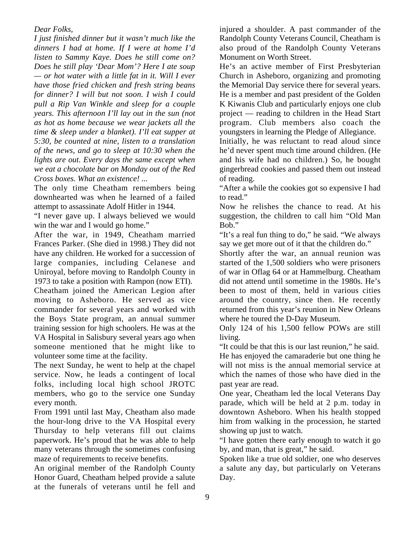*Dear Folks,*

*I just finished dinner but it wasn't much like the dinners I had at home. If I were at home I'd listen to Sammy Kaye. Does he still come on? Does he still play 'Dear Mom'? Here I ate soup — or hot water with a little fat in it. Will I ever have those fried chicken and fresh string beans for dinner? I will but not soon. I wish I could pull a Rip Van Winkle and sleep for a couple years. This afternoon I'll lay out in the sun (not as hot as home because we wear jackets all the time & sleep under a blanket). I'll eat supper at 5:30, be counted at nine, listen to a translation of the news, and go to sleep at 10:30 when the lights are out. Every days the same except when we eat a chocolate bar on Monday out of the Red Cross boxes. What an existence! ...*

The only time Cheatham remembers being downhearted was when he learned of a failed attempt to assassinate Adolf Hitler in 1944.

"I never gave up. I always believed we would win the war and I would go home."

After the war, in 1949, Cheatham married Frances Parker. (She died in 1998.) They did not have any children. He worked for a succession of large companies, including Celanese and Uniroyal, before moving to Randolph County in 1973 to take a position with Rampon (now ETI).

Cheatham joined the American Legion after moving to Asheboro. He served as vice commander for several years and worked with the Boys State program, an annual summer training session for high schoolers. He was at the VA Hospital in Salisbury several years ago when someone mentioned that he might like to volunteer some time at the facility.

The next Sunday, he went to help at the chapel service. Now, he leads a contingent of local folks, including local high school JROTC members, who go to the service one Sunday every month.

From 1991 until last May, Cheatham also made the hour-long drive to the VA Hospital every Thursday to help veterans fill out claims paperwork. He's proud that he was able to help many veterans through the sometimes confusing maze of requirements to receive benefits.

An original member of the Randolph County Honor Guard, Cheatham helped provide a salute at the funerals of veterans until he fell and

injured a shoulder. A past commander of the Randolph County Veterans Council, Cheatham is also proud of the Randolph County Veterans Monument on Worth Street.

He's an active member of First Presbyterian Church in Asheboro, organizing and promoting the Memorial Day service there for several years. He is a member and past president of the Golden K Kiwanis Club and particularly enjoys one club project — reading to children in the Head Start program. Club members also coach the youngsters in learning the Pledge of Allegiance.

Initially, he was reluctant to read aloud since he'd never spent much time around children. (He and his wife had no children.) So, he bought gingerbread cookies and passed them out instead of reading.

"After a while the cookies got so expensive I had to read."

Now he relishes the chance to read. At his suggestion, the children to call him "Old Man Bob."

"It's a real fun thing to do," he said. "We always say we get more out of it that the children do."

Shortly after the war, an annual reunion was started of the 1,500 soldiers who were prisoners of war in Oflag 64 or at Hammelburg. Cheatham did not attend until sometime in the 1980s. He's been to most of them, held in various cities around the country, since then. He recently returned from this year's reunion in New Orleans where he toured the D-Day Museum.

Only 124 of his 1,500 fellow POWs are still living.

"It could be that this is our last reunion," he said.

He has enjoyed the camaraderie but one thing he will not miss is the annual memorial service at which the names of those who have died in the past year are read.

One year, Cheatham led the local Veterans Day parade, which will be held at 2 p.m. today in downtown Asheboro. When his health stopped him from walking in the procession, he started showing up just to watch.

"I have gotten there early enough to watch it go by, and man, that is great," he said.

Spoken like a true old soldier, one who deserves a salute any day, but particularly on Veterans Day.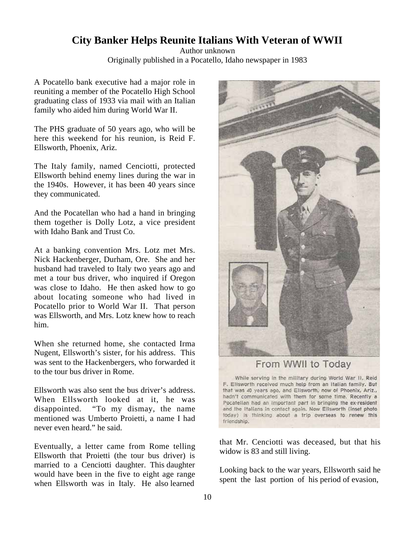## **City Banker Helps Reunite Italians With Veteran of WWII**

Author unknown Originally published in a Pocatello, Idaho newspaper in 1983

A Pocatello bank executive had a major role in reuniting a member of the Pocatello High School graduating class of 1933 via mail with an Italian family who aided him during World War II.

The PHS graduate of 50 years ago, who will be here this weekend for his reunion, is Reid F. Ellsworth, Phoenix, Ariz.

The Italy family, named Cenciotti, protected Ellsworth behind enemy lines during the war in the 1940s. However, it has been 40 years since they communicated.

And the Pocatellan who had a hand in bringing them together is Dolly Lotz, a vice president with Idaho Bank and Trust Co.

At a banking convention Mrs. Lotz met Mrs. Nick Hackenberger, Durham, Ore. She and her husband had traveled to Italy two years ago and met a tour bus driver, who inquired if Oregon was close to Idaho. He then asked how to go about locating someone who had lived in Pocatello prior to World War II. That person was Ellsworth, and Mrs. Lotz knew how to reach him.

When she returned home, she contacted Irma Nugent, Ellsworth's sister, for his address. This was sent to the Hackenbergers, who forwarded it to the tour bus driver in Rome.

Ellsworth was also sent the bus driver's address. When Ellsworth looked at it, he was disappointed. "To my dismay, the name mentioned was Umberto Proietti, a name I had never even heard." he said.

Eventually, a letter came from Rome telling Ellsworth that Proietti (the tour bus driver) is married to a Cenciotti daughter. This daughter would have been in the five to eight age range when Ellsworth was in Italy. He also learned



From WWII to Today

While serving in the military during World War II, Reid F. Elisworth received much help from an Italian family. But that was 40 years ago, and Ellsworth, now of Phoenix, Ariz., hadn't communicated with them for some time. Recently a Pocatellan had an important part in bringing the ex-resident and the Italians in contact again. Now Ellsworth (inset photo today) is thinking about a trip overseas to renew this friendship.

that Mr. Cenciotti was deceased, but that his widow is 83 and still living.

Looking back to the war years, Ellsworth said he spent the last portion of his period of evasion,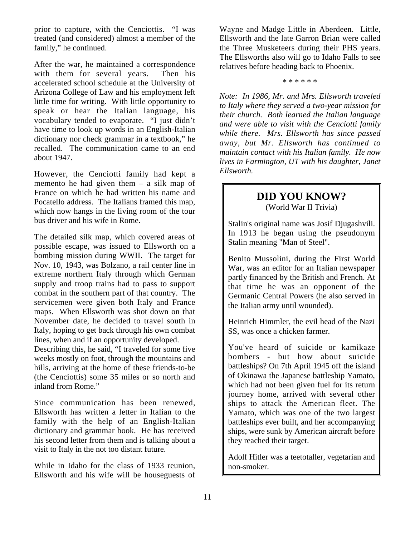prior to capture, with the Cenciottis. "I was treated (and considered) almost a member of the family," he continued.

After the war, he maintained a correspondence with them for several years. Then his accelerated school schedule at the University of Arizona College of Law and his employment left little time for writing. With little opportunity to speak or hear the Italian language, his vocabulary tended to evaporate. "I just didn't have time to look up words in an English-Italian dictionary nor check grammar in a textbook," he recalled. The communication came to an end about 1947.

However, the Cenciotti family had kept a memento he had given them – a silk map of France on which he had written his name and Pocatello address. The Italians framed this map, which now hangs in the living room of the tour bus driver and his wife in Rome.

The detailed silk map, which covered areas of possible escape, was issued to Ellsworth on a bombing mission during WWII. The target for Nov. 10, 1943, was Bolzano, a rail center line in extreme northern Italy through which German supply and troop trains had to pass to support combat in the southern part of that country. The servicemen were given both Italy and France maps. When Ellsworth was shot down on that November date, he decided to travel south in Italy, hoping to get back through his own combat lines, when and if an opportunity developed.

Describing this, he said, "I traveled for some five weeks mostly on foot, through the mountains and hills, arriving at the home of these friends-to-be (the Cenciottis) some 35 miles or so north and inland from Rome."

Since communication has been renewed, Ellsworth has written a letter in Italian to the family with the help of an English-Italian dictionary and grammar book. He has received his second letter from them and is talking about a visit to Italy in the not too distant future.

While in Idaho for the class of 1933 reunion, Ellsworth and his wife will be houseguests of Wayne and Madge Little in Aberdeen. Little, Ellsworth and the late Garron Brian were called the Three Musketeers during their PHS years. The Ellsworths also will go to Idaho Falls to see relatives before heading back to Phoenix.

\* \* \* \* \* \*

*Note: In 1986, Mr. and Mrs. Ellsworth traveled to Italy where they served a two-year mission for their church. Both learned the Italian language and were able to visit with the Cenciotti family while there. Mrs. Ellsworth has since passed away, but Mr. Ellsworth has continued to maintain contact with his Italian family. He now lives in Farmington, UT with his daughter, Janet Ellsworth.*

## **DID YOU KNOW?**

(World War II Trivia)

Stalin's original name was Josif Djugashvili. In 1913 he began using the pseudonym Stalin meaning "Man of Steel".

Benito Mussolini, during the First World War, was an editor for an Italian newspaper partly financed by the British and French. At that time he was an opponent of the Germanic Central Powers (he also served in the Italian army until wounded).

Heinrich Himmler, the evil head of the Nazi SS, was once a chicken farmer.

You've heard of suicide or kamikaze bombers - but how about suicide battleships? On 7th April 1945 off the island of Okinawa the Japanese battleship Yamato, which had not been given fuel for its return journey home, arrived with several other ships to attack the American fleet. The Yamato, which was one of the two largest battleships ever built, and her accompanying ships, were sunk by American aircraft before they reached their target.

Adolf Hitler was a teetotaller, vegetarian and non-smoker.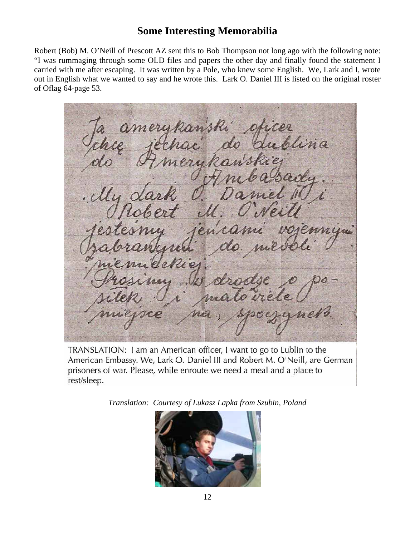## **Some Interesting Memorabilia**

Robert (Bob) M. O'Neill of Prescott AZ sent this to Bob Thompson not long ago with the following note: "I was rummaging through some OLD files and papers the other day and finally found the statement I carried with me after escaping. It was written by a Pole, who knew some English. We, Lark and I, wrote out in English what we wanted to say and he wrote this. Lark O. Daniel III is listed on the original roster of Oflag 64-page 53.

amerik lina

TRANSLATION: I am an American officer, I want to go to Lublin to the American Embassy. We, Lark O. Daniel III and Robert M. O'Neill, are German prisoners of war. Please, while enroute we need a meal and a place to rest/sleep.

*Translation: Courtesy of Lukasz Lapka from Szubin, Poland*

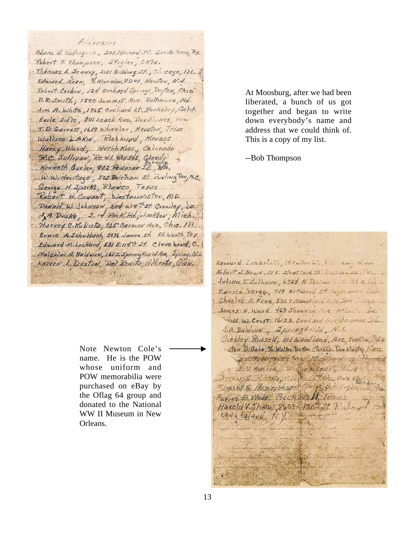Anyesses Adam B. Hodrigez, 2013mond 5% San As Temp, Ft. Robert T. Thompson, Stigler, Okle. Thomas L. Jeaney, 2121 Gidding st., Chicago, 122. Edward Korn, % Murmin, RDWI, Newton, N.J. Robert Corbins, 124 Orchard Spings, Dryton, Chia. D. B. Smith, 1500 Summit Ave. Beltimore, Md. Im A. White, 1765 orchard St. Perkeley, Calif. Earle Sidle, 301 Leach Ave, Des Maires, low T.D. Garrett, 1619. Wheeler, Houston, Texas Wallace L.AKIN, Richmond, Mansas Harry Wood, HotchKiss, Calorado R.C. Jullivan, Rt. +1. Box 943, Glenda Kenneth Gusler, 902 Perinor J.E., MA. W.W. Heritage, sas Durham st. SurlingTon, N.C. George H. Sparks, Blanco, Texas Robert H. Consent, Westminister, MD. Donald W. Johnson, 204 w 9th St. Crowley, 28. JA. Drake, J. 14 Park Rd. ;- lackson, Mich. Harvey C.Kubista, 925 Carmen Ave., Chia. 111. EVNIC A Sohulbach, 2936 James St. Ft. Worth Tex. Edward Mihockard, 531 E. 114th St. Cleve band, O. Malcolm A. Baldwin, 1615. SpringField Are, Spring. N.J. Kaview L. Dostin, Del Benito, Alberta, Can.

Note Newton Cole's name. He is the POW whose uniform and POW memorabilia were purchased on eBay by the Oflag 64 group and donated to the National WW II Museum in New Orleans.

At Moosburg, after we had been liberated, a bunch of us got together and began to write down everybody's name and address that we could think of. This is a copy of my list.

--Bob Thompson

Leonerd Lanzibetti, 19 Fulton St. 1 .: but, lives Nebert J. NewN. 21 E. stratford St. Lassier He .!  $-10$ lian T. Juliusu, 6724 M. Restiwe to the city -Exerce Vergy 719 Notwood st. lugis week, Call. Charles A. Free, 5057 Mansfield (112 Jen. 1990) James H. Wood 469 Shawnee Are At Julio Ga. will w. Crist. 16/28. Orchard Arctic Jenis, Cal. I.A. Baldwin, Springtila, N.I. Resley Bussell, 101 Wear land, Ave, Stadium, 1263. I sten D. Cole, % Walter Buner Chocko, Dor chester, Mass. sweep the voir franchise when we had J. D. Aukkoa, Uniger Wifeel , Chie ever C. Roberts, Ista P. 14 Have, Price Bly? Liverd G. Henrichson Compagnette galean Faries P Wede, Bock Walkins Harold Wahal You? Aland Kicherad  $L$ *orig* 1*slava* N.V.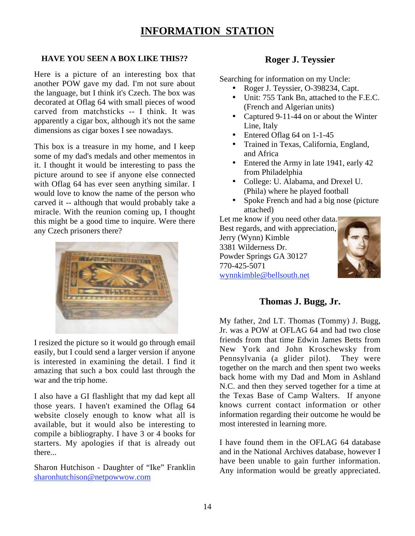# **INFORMATION STATION**

### **HAVE YOU SEEN A BOX LIKE THIS??**

Here is a picture of an interesting box that another POW gave my dad. I'm not sure about the language, but I think it's Czech. The box was decorated at Oflag 64 with small pieces of wood carved from matchsticks -- I think. It was apparently a cigar box, although it's not the same dimensions as cigar boxes I see nowadays.

This box is a treasure in my home, and I keep some of my dad's medals and other mementos in it. I thought it would be interesting to pass the picture around to see if anyone else connected with Oflag 64 has ever seen anything similar. I would love to know the name of the person who carved it -- although that would probably take a miracle. With the reunion coming up, I thought this might be a good time to inquire. Were there any Czech prisoners there?



I resized the picture so it would go through email easily, but I could send a larger version if anyone is interested in examining the detail. I find it amazing that such a box could last through the war and the trip home.

I also have a GI flashlight that my dad kept all those years. I haven't examined the Oflag 64 website closely enough to know what all is available, but it would also be interesting to compile a bibliography. I have 3 or 4 books for starters. My apologies if that is already out there...

Sharon Hutchison - Daughter of "Ike" Franklin sharonhutchison@netpowwow.com

### **Roger J. Teyssier**

Searching for information on my Uncle:

- Roger J. Teyssier, O-398234, Capt.
- Unit: 755 Tank Bn, attached to the F.E.C. (French and Algerian units)
- Captured 9-11-44 on or about the Winter Line, Italy
- Entered Oflag 64 on 1-1-45
- Trained in Texas, California, England, and Africa
- Entered the Army in late 1941, early 42 from Philadelphia
- College: U. Alabama, and Drexel U. (Phila) where he played football
- Spoke French and had a big nose (picture attached)

Let me know if you need other data. Best regards, and with appreciation, Jerry (Wynn) Kimble 3381 Wilderness Dr. Powder Springs GA 30127 770-425-5071 wynnkimble@bellsouth.net



### **Thomas J. Bugg, Jr.**

My father, 2nd LT. Thomas (Tommy) J. Bugg, Jr. was a POW at OFLAG 64 and had two close friends from that time Edwin James Betts from New York and John Kroschewsky from Pennsylvania (a glider pilot). They were together on the march and then spent two weeks back home with my Dad and Mom in Ashland N.C. and then they served together for a time at the Texas Base of Camp Walters. If anyone knows current contact information or other information regarding their outcome he would be most interested in learning more.

I have found them in the OFLAG 64 database and in the National Archives database, however I have been unable to gain further information. Any information would be greatly appreciated.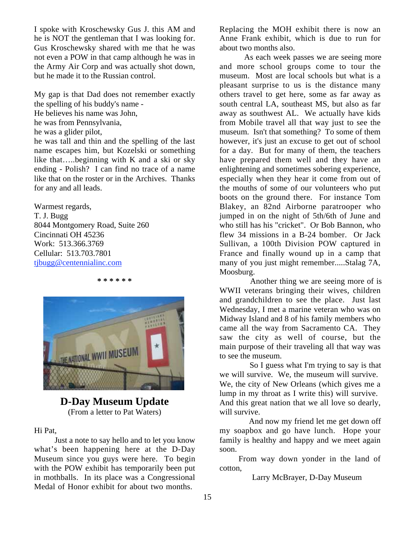I spoke with Kroschewsky Gus J. this AM and he is NOT the gentleman that I was looking for. Gus Kroschewsky shared with me that he was not even a POW in that camp although he was in the Army Air Corp and was actually shot down, but he made it to the Russian control.

My gap is that Dad does not remember exactly the spelling of his buddy's name - He believes his name was John, he was from Pennsylvania, he was a glider pilot, he was tall and thin and the spelling of the last name escapes him, but Kozelski or something like that…..beginning with K and a ski or sky ending - Polish? I can find no trace of a name like that on the roster or in the Archives. Thanks for any and all leads.

Warmest regards, T. J. Bugg 8044 Montgomery Road, Suite 260 Cincinnati OH 45236 Work: 513.366.3769 Cellular: 513.703.7801 tjbugg@centennialinc.com

**\* \* \* \* \* \***



## **D-Day Museum Update** (From a letter to Pat Waters)

Hi Pat,

 Just a note to say hello and to let you know what's been happening here at the D-Day Museum since you guys were here. To begin with the POW exhibit has temporarily been put in mothballs. In its place was a Congressional Medal of Honor exhibit for about two months.

Replacing the MOH exhibit there is now an Anne Frank exhibit, which is due to run for about two months also.

 As each week passes we are seeing more and more school groups come to tour the museum. Most are local schools but what is a pleasant surprise to us is the distance many others travel to get here, some as far away as south central LA, southeast MS, but also as far away as southwest AL. We actually have kids from Mobile travel all that way just to see the museum. Isn't that something? To some of them however, it's just an excuse to get out of school for a day. But for many of them, the teachers have prepared them well and they have an enlightening and sometimes sobering experience, especially when they hear it come from out of the mouths of some of our volunteers who put boots on the ground there. For instance Tom Blakey, an 82nd Airborne paratrooper who jumped in on the night of 5th/6th of June and who still has his "cricket". Or Bob Bannon, who flew 34 missions in a B-24 bomber. Or Jack Sullivan, a 100th Division POW captured in France and finally wound up in a camp that many of you just might remember.....Stalag 7A, Moosburg.

 Another thing we are seeing more of is WWII veterans bringing their wives, children and grandchildren to see the place. Just last Wednesday, I met a marine veteran who was on Midway Island and 8 of his family members who came all the way from Sacramento CA. They saw the city as well of course, but the main purpose of their traveling all that way was to see the museum.

 So I guess what I'm trying to say is that we will survive. We, the museum will survive. We, the city of New Orleans (which gives me a lump in my throat as I write this) will survive. And this great nation that we all love so dearly, will survive.

 And now my friend let me get down off my soapbox and go have lunch. Hope your family is healthy and happy and we meet again soon.

From way down yonder in the land of cotton,

Larry McBrayer, D-Day Museum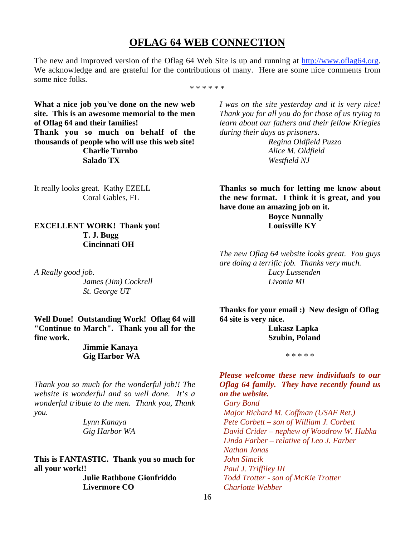### **OFLAG 64 WEB CONNECTION**

The new and improved version of the Oflag 64 Web Site is up and running at http://www.oflag64.org. We acknowledge and are grateful for the contributions of many. Here are some nice comments from some nice folks.

\* \* \* \* \* \*

**What a nice job you've done on the new web site. This is an awesome memorial to the men of Oflag 64 and their families! Thank you so much on behalf of the thousands of people who will use this web site! Charlie Turnbo Salado TX**

It really looks great. Kathy EZELL Coral Gables, FL

**EXCELLENT WORK! Thank you! T. J. Bugg Cincinnati OH**

*A Really good job. James (Jim) Cockrell St. George UT*

**Well Done! Outstanding Work! Oflag 64 will "Continue to March". Thank you all for the fine work.**

### **Jimmie Kanaya Gig Harbor WA**

*Thank you so much for the wonderful job!! The website is wonderful and so well done. It's a wonderful tribute to the men. Thank you, Thank you.*

> *Lynn Kanaya Gig Harbor WA*

**This is FANTASTIC. Thank you so much for all your work!!**

> **Julie Rathbone Gionfriddo Livermore CO**

*I was on the site yesterday and it is very nice! Thank you for all you do for those of us trying to learn about our fathers and their fellow Kriegies during their days as prisoners.*

> *Regina Oldfield Puzzo Alice M. Oldfield Westfield NJ*

**Thanks so much for letting me know about the new format. I think it is great, and you have done an amazing job on it.**

> **Boyce Nunnally Louisville KY**

*The new Oflag 64 website looks great. You guys are doing a terrific job. Thanks very much. Lucy Lussenden Livonia MI*

**Thanks for your email :) New design of Oflag 64 site is very nice.**

> **Lukasz Lapka Szubin, Poland**

> > \* \* \* \* \*

*Please welcome these new individuals to our Oflag 64 family. They have recently found us on the website.*

 *Gary Bond Major Richard M. Coffman (USAF Ret.) Pete Corbett – son of William J. Corbett David Crider – nephew of Woodrow W. Hubka Linda Farber – relative of Leo J. Farber Nathan Jonas John Simcik Paul J. Triffiley III Todd Trotter - son of McKie Trotter Charlotte Webber*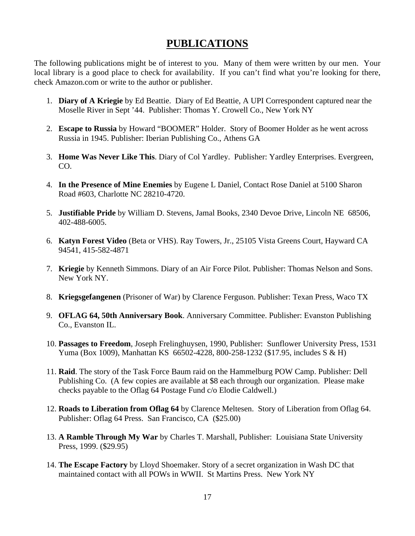## **PUBLICATIONS**

The following publications might be of interest to you. Many of them were written by our men. Your local library is a good place to check for availability. If you can't find what you're looking for there, check Amazon.com or write to the author or publisher.

- 1. **Diary of A Kriegie** by Ed Beattie. Diary of Ed Beattie, A UPI Correspondent captured near the Moselle River in Sept '44.Publisher: Thomas Y. Crowell Co., New York NY
- 2. **Escape to Russia** by Howard "BOOMER" Holder. Story of Boomer Holder as he went across Russia in 1945. Publisher: Iberian Publishing Co., Athens GA
- 3. **Home Was Never Like This**. Diary of Col Yardley. Publisher: Yardley Enterprises. Evergreen, CO.
- 4. **In the Presence of Mine Enemies** by Eugene L Daniel, Contact Rose Daniel at 5100 Sharon Road #603, Charlotte NC 28210-4720.
- 5. **Justifiable Pride** by William D. Stevens, Jamal Books, 2340 Devoe Drive, Lincoln NE 68506, 402-488-6005.
- 6. **Katyn Forest Video** (Beta or VHS). Ray Towers, Jr., 25105 Vista Greens Court, Hayward CA 94541, 415-582-4871
- 7. **Kriegie** by Kenneth Simmons. Diary of an Air Force Pilot. Publisher: Thomas Nelson and Sons. New York NY.
- 8. **Kriegsgefangenen** (Prisoner of War) by Clarence Ferguson. Publisher: Texan Press, Waco TX
- 9. **OFLAG 64, 50th Anniversary Book**. Anniversary Committee. Publisher: Evanston Publishing Co., Evanston IL.
- 10. **Passages to Freedom**, Joseph Frelinghuysen, 1990, Publisher: Sunflower University Press, 1531 Yuma (Box 1009), Manhattan KS 66502-4228, 800-258-1232 (\$17.95, includes S & H)
- 11. **Raid**. The story of the Task Force Baum raid on the Hammelburg POW Camp. Publisher: Dell Publishing Co. (A few copies are available at \$8 each through our organization. Please make checks payable to the Oflag 64 Postage Fund c/o Elodie Caldwell.)
- 12. **Roads to Liberation from Oflag 64** by Clarence Meltesen. Story of Liberation from Oflag 64. Publisher: Oflag 64 Press. San Francisco, CA (\$25.00)
- 13. **A Ramble Through My War** by Charles T. Marshall, Publisher: Louisiana State University Press, 1999. (\$29.95)
- 14. **The Escape Factory** by Lloyd Shoemaker. Story of a secret organization in Wash DC that maintained contact with all POWs in WWII. St Martins Press. New York NY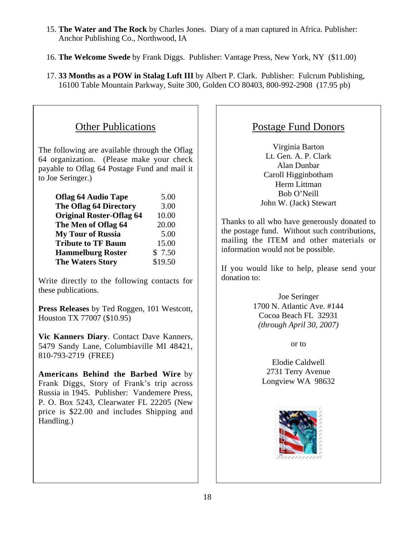- 15. **The Water and The Rock** by Charles Jones. Diary of a man captured in Africa. Publisher: Anchor Publishing Co., Northwood, IA
- 16. **The Welcome Swede** by Frank Diggs. Publisher: Vantage Press, New York, NY (\$11.00)
- 17. **33 Months as a POW in Stalag Luft III** by Albert P. Clark. Publisher: Fulcrum Publishing, 16100 Table Mountain Parkway, Suite 300, Golden CO 80403, 800-992-2908 (17.95 pb)

# Other Publications

The following are available through the Oflag 64 organization. (Please make your check payable to Oflag 64 Postage Fund and mail it to Joe Seringer.)

| <b>Oflag 64 Audio Tape</b>      | 5.00    |
|---------------------------------|---------|
| <b>The Oflag 64 Directory</b>   | 3.00    |
| <b>Original Roster-Oflag 64</b> | 10.00   |
| The Men of Oflag 64             | 20.00   |
| <b>My Tour of Russia</b>        | 5.00    |
| <b>Tribute to TF Baum</b>       | 15.00   |
| <b>Hammelburg Roster</b>        | \$7.50  |
| <b>The Waters Story</b>         | \$19.50 |

Write directly to the following contacts for these publications.

**Press Releases** by Ted Roggen, 101 Westcott, Houston TX 77007 (\$10.95)

**Vic Kanners Diary**. Contact Dave Kanners, 5479 Sandy Lane, Columbiaville MI 48421, 810-793-2719 (FREE)

**Americans Behind the Barbed Wire** by Frank Diggs, Story of Frank's trip across Russia in 1945. Publisher: Vandemere Press, P. O. Box 5243, Clearwater FL 22205 (New price is \$22.00 and includes Shipping and Handling.)

## Postage Fund Donors

Virginia Barton Lt. Gen. A. P. Clark Alan Dunbar Caroll Higginbotham Herm Littman Bob O'Neill John W. (Jack) Stewart

Thanks to all who have generously donated to the postage fund. Without such contributions, mailing the ITEM and other materials or information would not be possible.

If you would like to help, please send your donation to:

> Joe Seringer 1700 N. Atlantic Ave. #144 Cocoa Beach FL 32931 *(through April 30, 2007)*

> > or to

Elodie Caldwell 2731 Terry Avenue Longview WA 98632

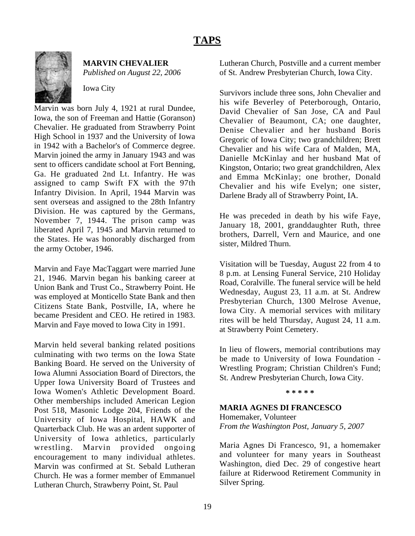## **TAPS**



**MARVIN CHEVALIER**

*Published on August 22, 2006*

Iowa City

Marvin was born July 4, 1921 at rural Dundee, Iowa, the son of Freeman and Hattie (Goranson) Chevalier. He graduated from Strawberry Point High School in 1937 and the University of Iowa in 1942 with a Bachelor's of Commerce degree. Marvin joined the army in January 1943 and was sent to officers candidate school at Fort Benning, Ga. He graduated 2nd Lt. Infantry. He was assigned to camp Swift FX with the 97th Infantry Division. In April, 1944 Marvin was sent overseas and assigned to the 28th Infantry Division. He was captured by the Germans, November 7, 1944. The prison camp was liberated April 7, 1945 and Marvin returned to the States. He was honorably discharged from the army October, 1946.

Marvin and Faye MacTaggart were married June 21, 1946. Marvin began his banking career at Union Bank and Trust Co., Strawberry Point. He was employed at Monticello State Bank and then Citizens State Bank, Postville, IA, where he became President and CEO. He retired in 1983. Marvin and Faye moved to Iowa City in 1991.

Marvin held several banking related positions culminating with two terms on the Iowa State Banking Board. He served on the University of Iowa Alumni Association Board of Directors, the Upper Iowa University Board of Trustees and Iowa Women's Athletic Development Board. Other memberships included American Legion Post 518, Masonic Lodge 204, Friends of the University of Iowa Hospital, HAWK and Quarterback Club. He was an ardent supporter of University of Iowa athletics, particularly wrestling. Marvin provided ongoing encouragement to many individual athletes. Marvin was confirmed at St. Sebald Lutheran Church. He was a former member of Emmanuel Lutheran Church, Strawberry Point, St. Paul

Lutheran Church, Postville and a current member of St. Andrew Presbyterian Church, Iowa City.

Survivors include three sons, John Chevalier and his wife Beverley of Peterborough, Ontario, David Chevalier of San Jose, CA and Paul Chevalier of Beaumont, CA; one daughter, Denise Chevalier and her husband Boris Gregoric of Iowa City; two grandchildren; Brett Chevalier and his wife Cara of Malden, MA, Danielle McKinlay and her husband Mat of Kingston, Ontario; two great grandchildren, Alex and Emma McKinlay; one brother, Donald Chevalier and his wife Evelyn; one sister, Darlene Brady all of Strawberry Point, IA.

He was preceded in death by his wife Faye, January 18, 2001, granddaughter Ruth, three brothers, Darrell, Vern and Maurice, and one sister, Mildred Thurn.

Visitation will be Tuesday, August 22 from 4 to 8 p.m. at Lensing Funeral Service, 210 Holiday Road, Coralville. The funeral service will be held Wednesday, August 23, 11 a.m. at St. Andrew Presbyterian Church, 1300 Melrose Avenue, Iowa City. A memorial services with military rites will be held Thursday, August 24, 11 a.m. at Strawberry Point Cemetery.

In lieu of flowers, memorial contributions may be made to University of Iowa Foundation - Wrestling Program; Christian Children's Fund; St. Andrew Presbyterian Church, Iowa City.

**\* \* \* \* \***

### **MARIA AGNES DI FRANCESCO**

Homemaker, Volunteer *From the Washington Post, January 5, 2007*

Maria Agnes Di Francesco, 91, a homemaker and volunteer for many years in Southeast Washington, died Dec. 29 of congestive heart failure at Riderwood Retirement Community in Silver Spring.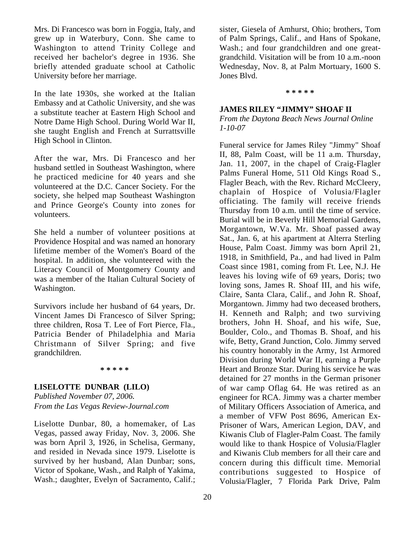Mrs. Di Francesco was born in Foggia, Italy, and grew up in Waterbury, Conn. She came to Washington to attend Trinity College and received her bachelor's degree in 1936. She briefly attended graduate school at Catholic University before her marriage.

In the late 1930s, she worked at the Italian Embassy and at Catholic University, and she was a substitute teacher at Eastern High School and Notre Dame High School. During World War II, she taught English and French at Surrattsville High School in Clinton.

After the war, Mrs. Di Francesco and her husband settled in Southeast Washington, where he practiced medicine for 40 years and she volunteered at the D.C. Cancer Society. For the society, she helped map Southeast Washington and Prince George's County into zones for volunteers.

She held a number of volunteer positions at Providence Hospital and was named an honorary lifetime member of the Women's Board of the hospital. In addition, she volunteered with the Literacy Council of Montgomery County and was a member of the Italian Cultural Society of Washington.

Survivors include her husband of 64 years, Dr. Vincent James Di Francesco of Silver Spring; three children, Rosa T. Lee of Fort Pierce, Fla., Patricia Bender of Philadelphia and Maria Christmann of Silver Spring; and five grandchildren.

#### **\* \* \* \* \***

#### **LISELOTTE DUNBAR (LILO)**

*Published November 07, 2006. From the Las Vegas Review-Journal.com*

Liselotte Dunbar, 80, a homemaker, of Las Vegas, passed away Friday, Nov. 3, 2006. She was born April 3, 1926, in Schelisa, Germany, and resided in Nevada since 1979. Liselotte is survived by her husband, Alan Dunbar; sons, Victor of Spokane, Wash., and Ralph of Yakima, Wash.; daughter, Evelyn of Sacramento, Calif.;

20

sister, Giesela of Amhurst, Ohio; brothers, Tom of Palm Springs, Calif., and Hans of Spokane, Wash.; and four grandchildren and one greatgrandchild. Visitation will be from 10 a.m.-noon Wednesday, Nov. 8, at Palm Mortuary, 1600 S. Jones Blvd.

**\* \* \* \* \***

#### **JAMES RILEY "JIMMY" SHOAF II**

*From the Daytona Beach News Journal Online 1-10-07*

Funeral service for James Riley "Jimmy" Shoaf II, 88, Palm Coast, will be 11 a.m. Thursday, Jan. 11, 2007, in the chapel of Craig-Flagler Palms Funeral Home, 511 Old Kings Road S., Flagler Beach, with the Rev. Richard McCleery, chaplain of Hospice of Volusia/Flagler officiating. The family will receive friends Thursday from 10 a.m. until the time of service. Burial will be in Beverly Hill Memorial Gardens, Morgantown, W.Va. Mr. Shoaf passed away Sat., Jan. 6, at his apartment at Alterra Sterling House, Palm Coast. Jimmy was born April 21, 1918, in Smithfield, Pa., and had lived in Palm Coast since 1981, coming from Ft. Lee, N.J. He leaves his loving wife of 69 years, Doris; two loving sons, James R. Shoaf III, and his wife, Claire, Santa Clara, Calif., and John R. Shoaf, Morgantown. Jimmy had two deceased brothers, H. Kenneth and Ralph; and two surviving brothers, John H. Shoaf, and his wife, Sue, Boulder, Colo., and Thomas B. Shoaf, and his wife, Betty, Grand Junction, Colo. Jimmy served his country honorably in the Army, 1st Armored Division during World War II, earning a Purple Heart and Bronze Star. During his service he was detained for 27 months in the German prisoner of war camp Oflag 64. He was retired as an engineer for RCA. Jimmy was a charter member of Military Officers Association of America, and a member of VFW Post 8696, American Ex-Prisoner of Wars, American Legion, DAV, and Kiwanis Club of Flagler-Palm Coast. The family would like to thank Hospice of Volusia/Flagler and Kiwanis Club members for all their care and concern during this difficult time. Memorial contributions suggested to Hospice of Volusia/Flagler, 7 Florida Park Drive, Palm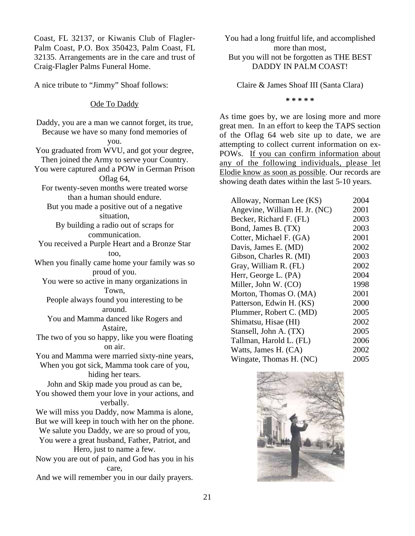Coast, FL 32137, or Kiwanis Club of Flagler-Palm Coast, P.O. Box 350423, Palm Coast, FL 32135. Arrangements are in the care and trust of Craig-Flagler Palms Funeral Home.

A nice tribute to "Jimmy" Shoaf follows:

### Ode To Daddy

Daddy, you are a man we cannot forget, its true, Because we have so many fond memories of you. You graduated from WVU, and got your degree, Then joined the Army to serve your Country. You were captured and a POW in German Prison Oflag 64, For twenty-seven months were treated worse than a human should endure. But you made a positive out of a negative situation, By building a radio out of scraps for communication. You received a Purple Heart and a Bronze Star too, When you finally came home your family was so proud of you. You were so active in many organizations in Town, People always found you interesting to be around. You and Mamma danced like Rogers and Astaire, The two of you so happy, like you were floating on air. You and Mamma were married sixty-nine years, When you got sick, Mamma took care of you, hiding her tears. John and Skip made you proud as can be, You showed them your love in your actions, and verbally. We will miss you Daddy, now Mamma is alone, But we will keep in touch with her on the phone. We salute you Daddy, we are so proud of you, You were a great husband, Father, Patriot, and Hero, just to name a few. Now you are out of pain, and God has you in his care, And we will remember you in our daily prayers.

You had a long fruitful life, and accomplished more than most, But you will not be forgotten as THE BEST DADDY IN PALM COAST!

Claire & James Shoaf III (Santa Clara)

**\* \* \* \* \***

As time goes by, we are losing more and more great men. In an effort to keep the TAPS section of the Oflag 64 web site up to date, we are attempting to collect current information on ex-POWs. If you can confirm information about any of the following individuals, please let Elodie know as soon as possible. Our records are showing death dates within the last 5-10 years.

| Alloway, Norman Lee (KS)      | 2004 |
|-------------------------------|------|
| Angevine, William H. Jr. (NC) | 2001 |
| Becker, Richard F. (FL)       | 2003 |
| Bond, James B. (TX)           | 2003 |
| Cotter, Michael F. (GA)       | 2001 |
| Davis, James E. (MD)          | 2002 |
| Gibson, Charles R. (MI)       | 2003 |
| Gray, William R. (FL)         | 2002 |
| Herr, George L. (PA)          | 2004 |
| Miller, John W. (CO)          | 1998 |
| Morton, Thomas O. (MA)        | 2001 |
| Patterson, Edwin H. (KS)      | 2000 |
| Plummer, Robert C. (MD)       | 2005 |
| Shimatsu, Hisae (HI)          | 2002 |
| Stansell, John A. (TX)        | 2005 |
| Tallman, Harold L. (FL)       | 2006 |
| Watts, James H. (CA)          | 2002 |
| Wingate, Thomas H. (NC)       | 2005 |